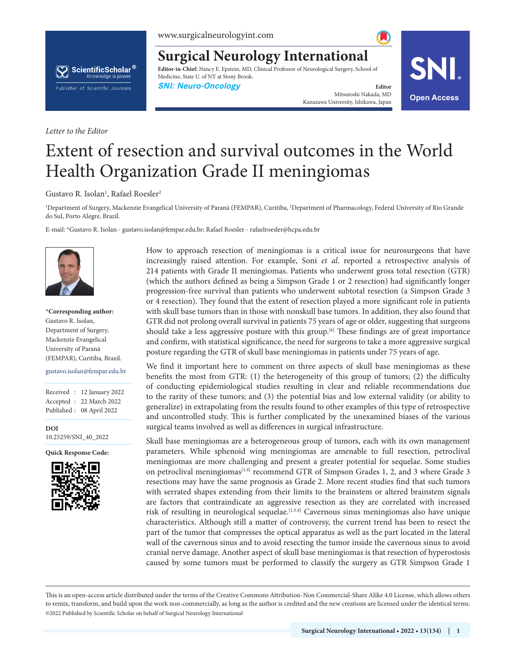www.surgicalneurologyint.com

### ScientificScholar® Knowledge is power Publisher of Scientific Journals

*Letter to the Editor*

## **Surgical Neurology International**

**Editor-in-Chief:** Nancy E. Epstein, MD, Clinical Professor of Neurological Surgery, School of Medicine, State U. of NY at Stony Brook.

**SNI:** Neuro-Oncology

Mitsutoshi Nakada, MD **Kanazawa University, Ishikawa, Japan Cheen Access** 



# Extent of resection and survival outcomes in the World Health Organization Grade II meningiomas

Gustavo R. Isolan<sup>1</sup>, Rafael Roesler<sup>2</sup>

1 Department of Surgery, Mackenzie Evangelical University of Paraná (FEMPAR), Curitiba, 2 Department of Pharmacology, Federal University of Rio Grande do Sul, Porto Alegre, Brazil.

E-mail: \*Gustavo R. Isolan - gustavo.isolan@fempar.edu.br; Rafael Roesler - rafaelroesler@hcpa.edu.br



**\*Corresponding author:**  Gustavo R. Isolan, Department of Surgery, Mackenzie Evangelical University of Paraná (FEMPAR), Curitiba, Brazil.

gustavo.isolan@fempar.edu.br

Received : 12 January 2022 Accepted : 22 March 2022 Published : 08 April 2022

**DOI** 10.25259/SNI\_40\_2022

**Quick Response Code:**



How to approach resection of meningiomas is a critical issue for neurosurgeons that have increasingly raised attention. For example, Soni *et al*. reported a retrospective analysis of 214 patients with Grade II meningiomas. Patients who underwent gross total resection (GTR) (which the authors defined as being a Simpson Grade 1 or 2 resection) had significantly longer progression-free survival than patients who underwent subtotal resection (a Simpson Grade 3 or 4 resection). They found that the extent of resection played a more significant role in patients with skull base tumors than in those with nonskull base tumors. In addition, they also found that GTR did not prolong overall survival in patients 75 years of age or older, suggesting that surgeons should take a less aggressive posture with this group.<sup>[6]</sup> These findings are of great importance and confirm, with statistical significance, the need for surgeons to take a more aggressive surgical posture regarding the GTR of skull base meningiomas in patients under 75 years of age.

We find it important here to comment on three aspects of skull base meningiomas as these benefits the most from GTR: (1) the heterogeneity of this group of tumors; (2) the difficulty of conducting epidemiological studies resulting in clear and reliable recommendations due to the rarity of these tumors; and (3) the potential bias and low external validity (or ability to generalize) in extrapolating from the results found to other examples of this type of retrospective and uncontrolled study. This is further complicated by the unexamined biases of the various surgical teams involved as well as differences in surgical infrastructure.

Skull base meningiomas are a heterogeneous group of tumors, each with its own management parameters. While sphenoid wing meningiomas are amenable to full resection, petroclival meningiomas are more challenging and present a greater potential for sequelae. Some studies on petroclival meningiomas[1,4] recommend GTR of Simpson Grades 1, 2, and 3 where Grade 3 resections may have the same prognosis as Grade 2. More recent studies find that such tumors with serrated shapes extending from their limits to the brainstem or altered brainstem signals are factors that contraindicate an aggressive resection as they are correlated with increased risk of resulting in neurological sequelae.[1,3,4] Cavernous sinus meningiomas also have unique characteristics. Although still a matter of controversy, the current trend has been to resect the part of the tumor that compresses the optical apparatus as well as the part located in the lateral wall of the cavernous sinus and to avoid resecting the tumor inside the cavernous sinus to avoid cranial nerve damage. Another aspect of skull base meningiomas is that resection of hyperostosis caused by some tumors must be performed to classify the surgery as GTR Simpson Grade 1

is is an open-access article distributed under the terms of the Creative Commons Attribution-Non Commercial-Share Alike 4.0 License, which allows others to remix, transform, and build upon the work non-commercially, as long as the author is credited and the new creations are licensed under the identical terms. ©2022 Published by Scientific Scholar on behalf of Surgical Neurology International